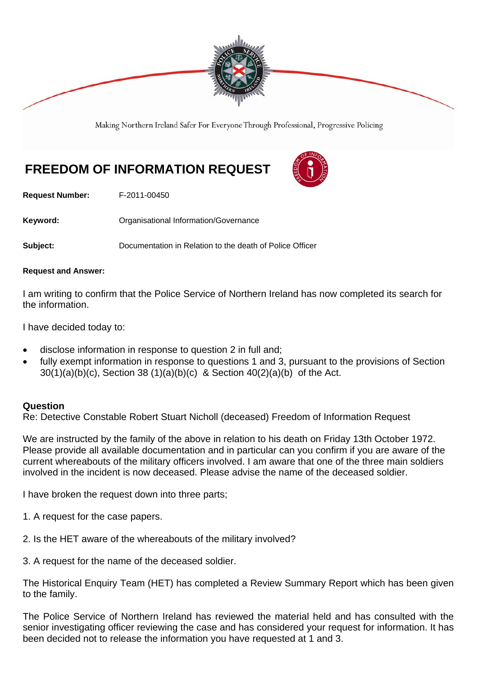

Making Northern Ireland Safer For Everyone Through Professional, Progressive Policing

# **FREEDOM OF INFORMATION REQUEST**



**Request Number:** F-2011-00450

Keyword: **Communistry Communists** Organisational Information/Governance

**Subject:** Documentation in Relation to the death of Police Officer

#### **Request and Answer:**

I am writing to confirm that the Police Service of Northern Ireland has now completed its search for the information.

I have decided today to:

- disclose information in response to question 2 in full and;
- fully exempt information in response to questions 1 and 3, pursuant to the provisions of Section 30(1)(a)(b)(c), Section 38 (1)(a)(b)(c) & Section 40(2)(a)(b) of the Act.

### **Question**

Re: Detective Constable Robert Stuart Nicholl (deceased) Freedom of Information Request

We are instructed by the family of the above in relation to his death on Friday 13th October 1972. Please provide all available documentation and in particular can you confirm if you are aware of the current whereabouts of the military officers involved. I am aware that one of the three main soldiers involved in the incident is now deceased. Please advise the name of the deceased soldier.

I have broken the request down into three parts;

- 1. A request for the case papers.
- 2. Is the HET aware of the whereabouts of the military involved?

3. A request for the name of the deceased soldier.

The Historical Enquiry Team (HET) has completed a Review Summary Report which has been given to the family.

The Police Service of Northern Ireland has reviewed the material held and has consulted with the senior investigating officer reviewing the case and has considered your request for information. It has been decided not to release the information you have requested at 1 and 3.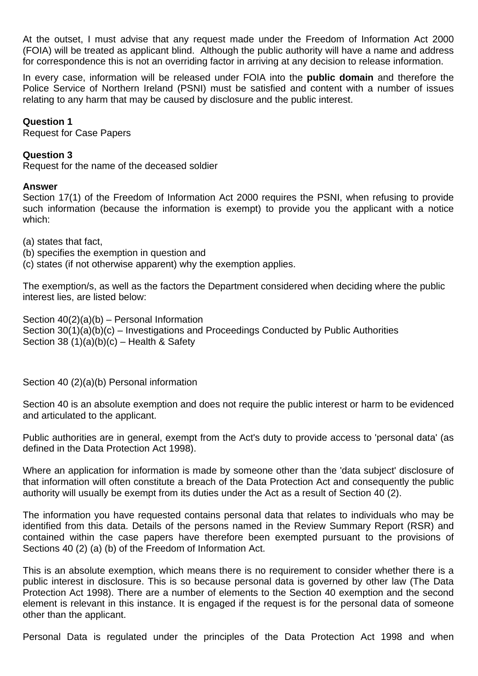At the outset, I must advise that any request made under the Freedom of Information Act 2000 (FOIA) will be treated as applicant blind. Although the public authority will have a name and address for correspondence this is not an overriding factor in arriving at any decision to release information.

In every case, information will be released under FOIA into the **public domain** and therefore the Police Service of Northern Ireland (PSNI) must be satisfied and content with a number of issues relating to any harm that may be caused by disclosure and the public interest.

# **Question 1**

Request for Case Papers

# **Question 3**

Request for the name of the deceased soldier

# **Answer**

Section 17(1) of the Freedom of Information Act 2000 requires the PSNI, when refusing to provide such information (because the information is exempt) to provide you the applicant with a notice which:

(a) states that fact,

(b) specifies the exemption in question and

(c) states (if not otherwise apparent) why the exemption applies.

The exemption/s, as well as the factors the Department considered when deciding where the public interest lies, are listed below:

Section 40(2)(a)(b) – Personal Information Section 30(1)(a)(b)(c) – Investigations and Proceedings Conducted by Public Authorities Section 38  $(1)(a)(b)(c)$  – Health & Safety

Section 40 (2)(a)(b) Personal information

Section 40 is an absolute exemption and does not require the public interest or harm to be evidenced and articulated to the applicant.

Public authorities are in general, exempt from the Act's duty to provide access to 'personal data' (as defined in the Data Protection Act 1998).

Where an application for information is made by someone other than the 'data subject' disclosure of that information will often constitute a breach of the Data Protection Act and consequently the public authority will usually be exempt from its duties under the Act as a result of Section 40 (2).

The information you have requested contains personal data that relates to individuals who may be identified from this data. Details of the persons named in the Review Summary Report (RSR) and contained within the case papers have therefore been exempted pursuant to the provisions of Sections 40 (2) (a) (b) of the Freedom of Information Act.

This is an absolute exemption, which means there is no requirement to consider whether there is a public interest in disclosure. This is so because personal data is governed by other law (The Data Protection Act 1998). There are a number of elements to the Section 40 exemption and the second element is relevant in this instance. It is engaged if the request is for the personal data of someone other than the applicant.

Personal Data is regulated under the principles of the Data Protection Act 1998 and when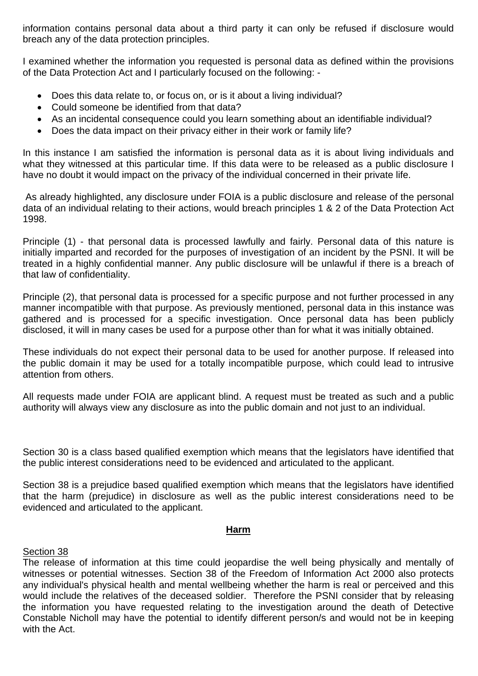information contains personal data about a third party it can only be refused if disclosure would breach any of the data protection principles.

I examined whether the information you requested is personal data as defined within the provisions of the Data Protection Act and I particularly focused on the following: -

- Does this data relate to, or focus on, or is it about a living individual?
- Could someone be identified from that data?
- As an incidental consequence could you learn something about an identifiable individual?
- Does the data impact on their privacy either in their work or family life?

In this instance I am satisfied the information is personal data as it is about living individuals and what they witnessed at this particular time. If this data were to be released as a public disclosure I have no doubt it would impact on the privacy of the individual concerned in their private life.

 As already highlighted, any disclosure under FOIA is a public disclosure and release of the personal data of an individual relating to their actions, would breach principles 1 & 2 of the Data Protection Act 1998.

Principle (1) - that personal data is processed lawfully and fairly. Personal data of this nature is initially imparted and recorded for the purposes of investigation of an incident by the PSNI. It will be treated in a highly confidential manner. Any public disclosure will be unlawful if there is a breach of that law of confidentiality.

Principle (2), that personal data is processed for a specific purpose and not further processed in any manner incompatible with that purpose. As previously mentioned, personal data in this instance was gathered and is processed for a specific investigation. Once personal data has been publicly disclosed, it will in many cases be used for a purpose other than for what it was initially obtained.

These individuals do not expect their personal data to be used for another purpose. If released into the public domain it may be used for a totally incompatible purpose, which could lead to intrusive attention from others.

All requests made under FOIA are applicant blind. A request must be treated as such and a public authority will always view any disclosure as into the public domain and not just to an individual.

Section 30 is a class based qualified exemption which means that the legislators have identified that the public interest considerations need to be evidenced and articulated to the applicant.

Section 38 is a prejudice based qualified exemption which means that the legislators have identified that the harm (prejudice) in disclosure as well as the public interest considerations need to be evidenced and articulated to the applicant.

# **Harm**

# Section 38

The release of information at this time could jeopardise the well being physically and mentally of witnesses or potential witnesses. Section 38 of the Freedom of Information Act 2000 also protects any individual's physical health and mental wellbeing whether the harm is real or perceived and this would include the relatives of the deceased soldier. Therefore the PSNI consider that by releasing the information you have requested relating to the investigation around the death of Detective Constable Nicholl may have the potential to identify different person/s and would not be in keeping with the Act.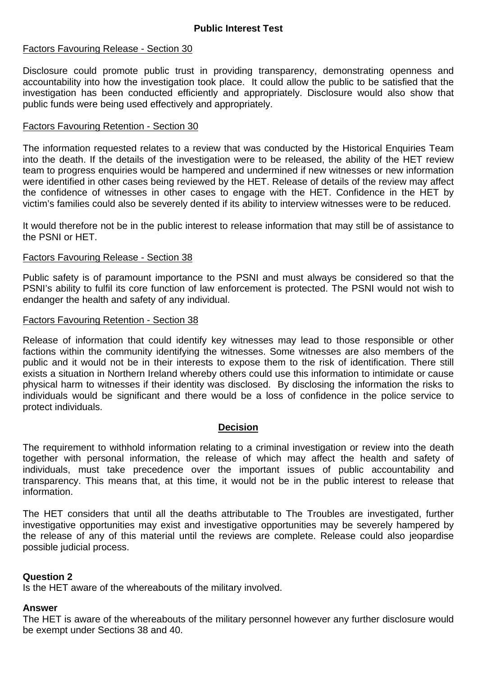# Factors Favouring Release - Section 30

Disclosure could promote public trust in providing transparency, demonstrating openness and accountability into how the investigation took place. It could allow the public to be satisfied that the investigation has been conducted efficiently and appropriately. Disclosure would also show that public funds were being used effectively and appropriately.

# Factors Favouring Retention - Section 30

The information requested relates to a review that was conducted by the Historical Enquiries Team into the death. If the details of the investigation were to be released, the ability of the HET review team to progress enquiries would be hampered and undermined if new witnesses or new information were identified in other cases being reviewed by the HET. Release of details of the review may affect the confidence of witnesses in other cases to engage with the HET. Confidence in the HET by victim's families could also be severely dented if its ability to interview witnesses were to be reduced.

It would therefore not be in the public interest to release information that may still be of assistance to the PSNI or HET.

## Factors Favouring Release - Section 38

Public safety is of paramount importance to the PSNI and must always be considered so that the PSNI's ability to fulfil its core function of law enforcement is protected. The PSNI would not wish to endanger the health and safety of any individual.

## Factors Favouring Retention - Section 38

Release of information that could identify key witnesses may lead to those responsible or other factions within the community identifying the witnesses. Some witnesses are also members of the public and it would not be in their interests to expose them to the risk of identification. There still exists a situation in Northern Ireland whereby others could use this information to intimidate or cause physical harm to witnesses if their identity was disclosed. By disclosing the information the risks to individuals would be significant and there would be a loss of confidence in the police service to protect individuals.

### **Decision**

The requirement to withhold information relating to a criminal investigation or review into the death together with personal information, the release of which may affect the health and safety of individuals, must take precedence over the important issues of public accountability and transparency. This means that, at this time, it would not be in the public interest to release that information.

The HET considers that until all the deaths attributable to The Troubles are investigated, further investigative opportunities may exist and investigative opportunities may be severely hampered by the release of any of this material until the reviews are complete. Release could also jeopardise possible judicial process.

# **Question 2**

Is the HET aware of the whereabouts of the military involved.

# **Answer**

The HET is aware of the whereabouts of the military personnel however any further disclosure would be exempt under Sections 38 and 40.